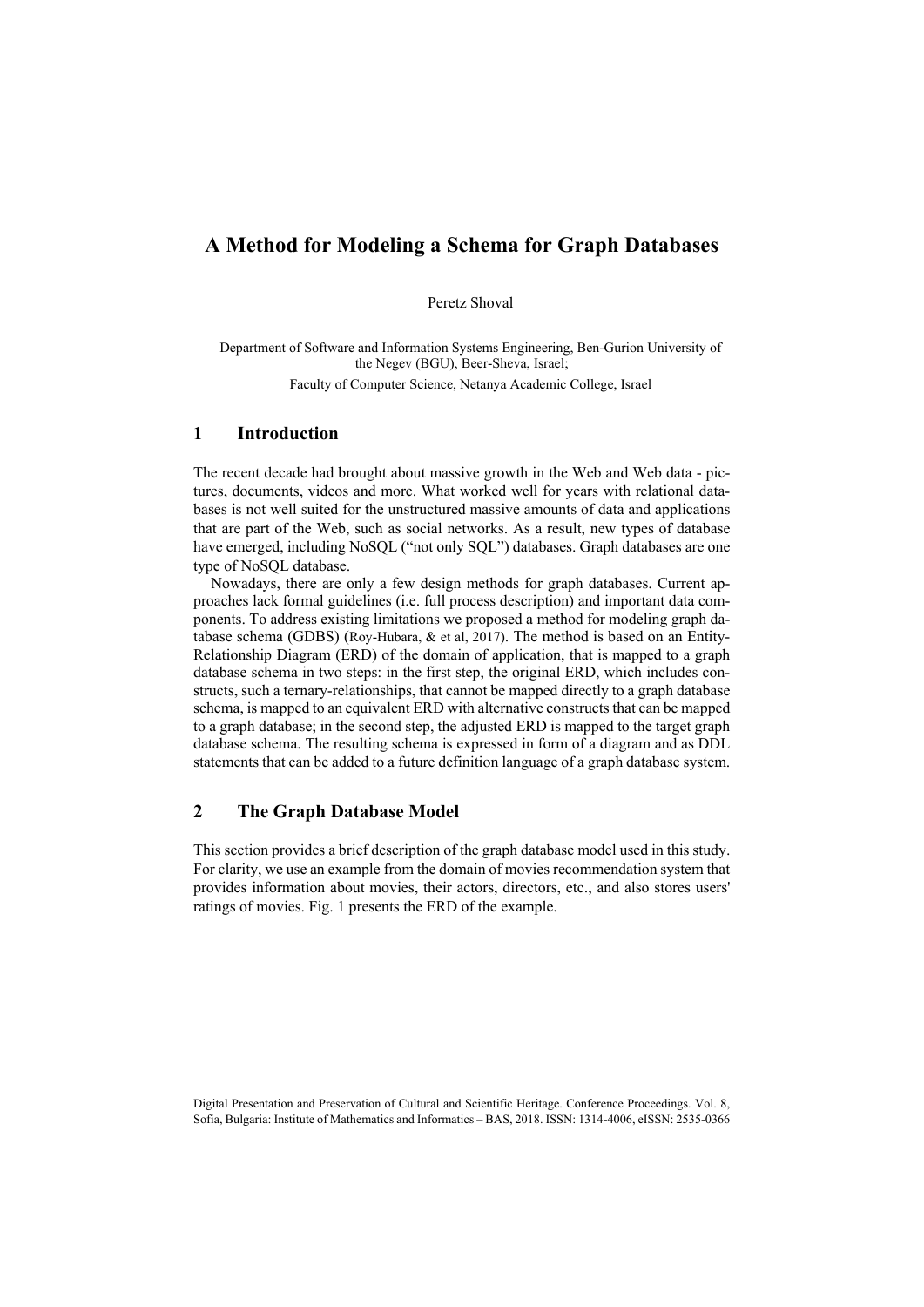# **A Method for Modeling a Schema for Graph Databases**

Peretz Shoval

Department of Software and Information Systems Engineering, Ben-Gurion University of the Negev (BGU), Beer-Sheva, Israel; Faculty of Computer Science, Netanya Academic College, Israel

## **1 Introduction**

The recent decade had brought about massive growth in the Web and Web data - pictures, documents, videos and more. What worked well for years with relational databases is not well suited for the unstructured massive amounts of data and applications that are part of the Web, such as social networks. As a result, new types of database have emerged, including NoSQL ("not only SQL") databases. Graph databases are one type of NoSQL database.

Nowadays, there are only a few design methods for graph databases. Current approaches lack formal guidelines (i.e. full process description) and important data components. To address existing limitations we proposed a method for modeling graph database schema (GDBS) (Roy-Hubara, & et al, 2017). The method is based on an Entity-Relationship Diagram (ERD) of the domain of application, that is mapped to a graph database schema in two steps: in the first step, the original ERD, which includes constructs, such a ternary-relationships, that cannot be mapped directly to a graph database schema, is mapped to an equivalent ERD with alternative constructs that can be mapped to a graph database; in the second step, the adjusted ERD is mapped to the target graph database schema. The resulting schema is expressed in form of a diagram and as DDL statements that can be added to a future definition language of a graph database system.

## **2 The Graph Database Model**

This section provides a brief description of the graph database model used in this study. For clarity, we use an example from the domain of movies recommendation system that provides information about movies, their actors, directors, etc., and also stores users' ratings of movies. Fig. 1 presents the ERD of the example.

Digital Presentation and Preservation of Cultural and Scientific Heritage. Conference Proceedings. Vol. 8, Sofia, Bulgaria: Institute of Mathematics and Informatics – BAS, 2018. ISSN: 1314-4006, eISSN: 2535-0366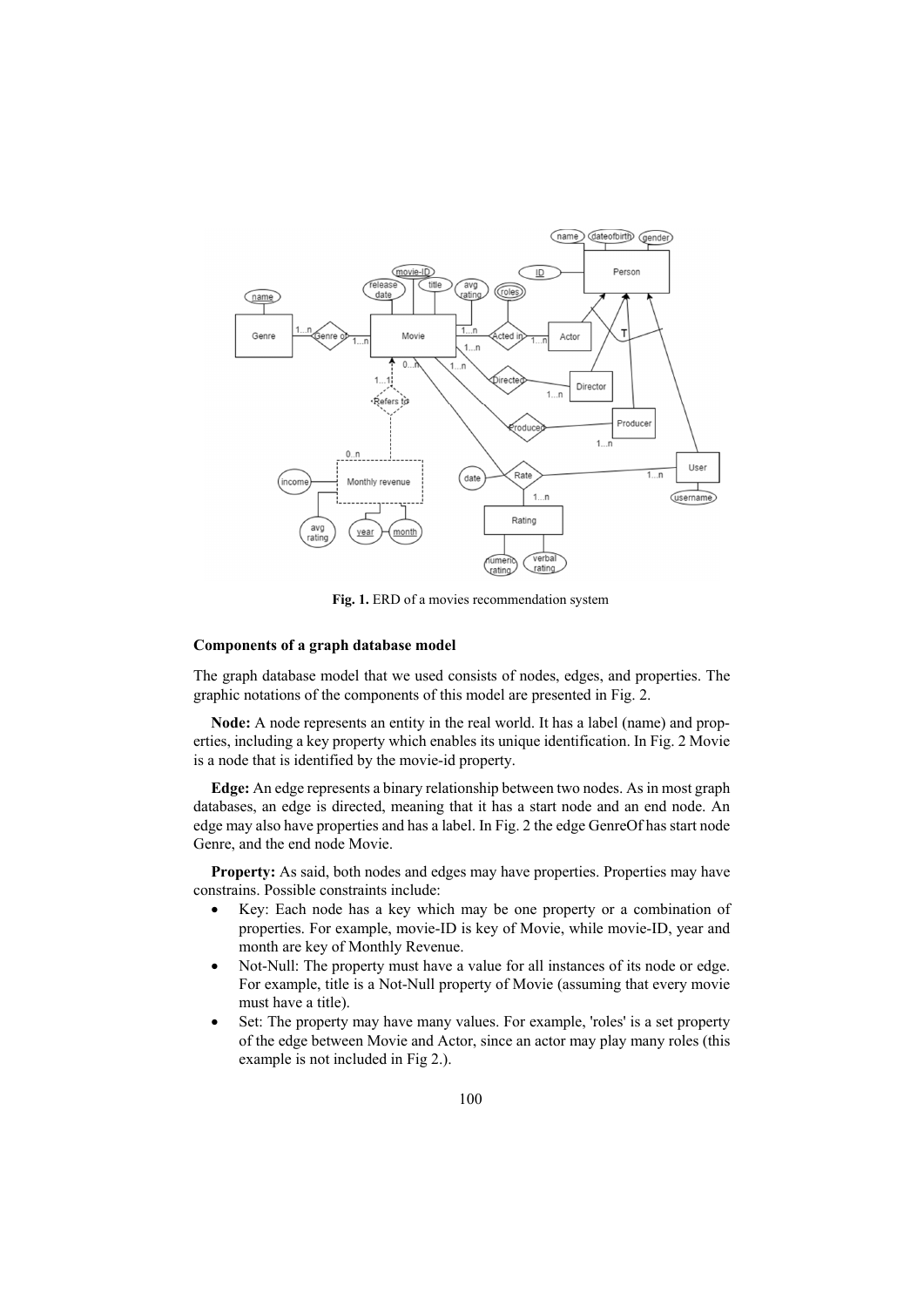

**Fig. 1.** ERD of a movies recommendation system

### **Components of a graph database model**

The graph database model that we used consists of nodes, edges, and properties. The graphic notations of the components of this model are presented in Fig. 2.

**Node:** A node represents an entity in the real world. It has a label (name) and properties, including a key property which enables its unique identification. In Fig. 2 Movie is a node that is identified by the movie-id property.

**Edge:** An edge represents a binary relationship between two nodes. As in most graph databases, an edge is directed, meaning that it has a start node and an end node. An edge may also have properties and has a label. In Fig. 2 the edge GenreOf has start node Genre, and the end node Movie.

Property: As said, both nodes and edges may have properties. Properties may have constrains. Possible constraints include:

- Key: Each node has a key which may be one property or a combination of properties. For example, movie-ID is key of Movie, while movie-ID, year and month are key of Monthly Revenue.
- Not-Null: The property must have a value for all instances of its node or edge. For example, title is a Not-Null property of Movie (assuming that every movie must have a title).
- Set: The property may have many values. For example, 'roles' is a set property of the edge between Movie and Actor, since an actor may play many roles (this example is not included in Fig 2.).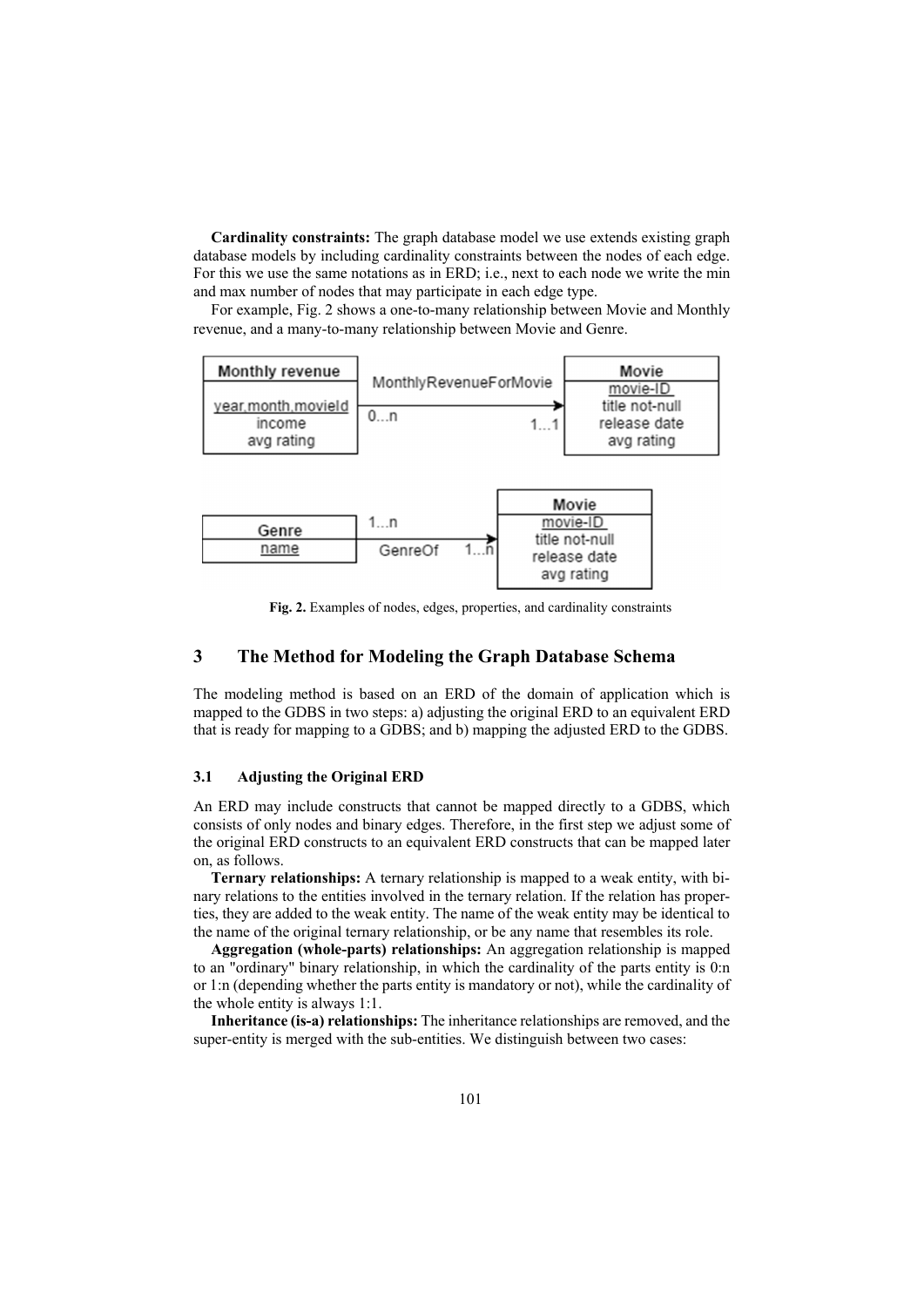**Cardinality constraints:** The graph database model we use extends existing graph database models by including cardinality constraints between the nodes of each edge. For this we use the same notations as in ERD; i.e., next to each node we write the min and max number of nodes that may participate in each edge type.

For example, Fig. 2 shows a one-to-many relationship between Movie and Monthly revenue, and a many-to-many relationship between Movie and Genre.





**Fig. 2.** Examples of nodes, edges, properties, and cardinality constraints

 $1...5$ 

release date

### **3 The Method for Modeling the Graph Database Schema**

GenreOf

The modeling method is based on an ERD of the domain of application which is mapped to the GDBS in two steps: a) adjusting the original ERD to an equivalent ERD that is ready for mapping to a GDBS; and b) mapping the adjusted ERD to the GDBS.

### **3.1 Adjusting the Original ERD**

name

An ERD may include constructs that cannot be mapped directly to a GDBS, which consists of only nodes and binary edges. Therefore, in the first step we adjust some of the original ERD constructs to an equivalent ERD constructs that can be mapped later on, as follows.

**Ternary relationships:** A ternary relationship is mapped to a weak entity, with binary relations to the entities involved in the ternary relation. If the relation has properties, they are added to the weak entity. The name of the weak entity may be identical to the name of the original ternary relationship, or be any name that resembles its role.

**Aggregation (whole-parts) relationships:** An aggregation relationship is mapped to an "ordinary" binary relationship, in which the cardinality of the parts entity is 0:n or 1:n (depending whether the parts entity is mandatory or not), while the cardinality of the whole entity is always 1:1.

**Inheritance (is-a) relationships:** The inheritance relationships are removed, and the super-entity is merged with the sub-entities. We distinguish between two cases: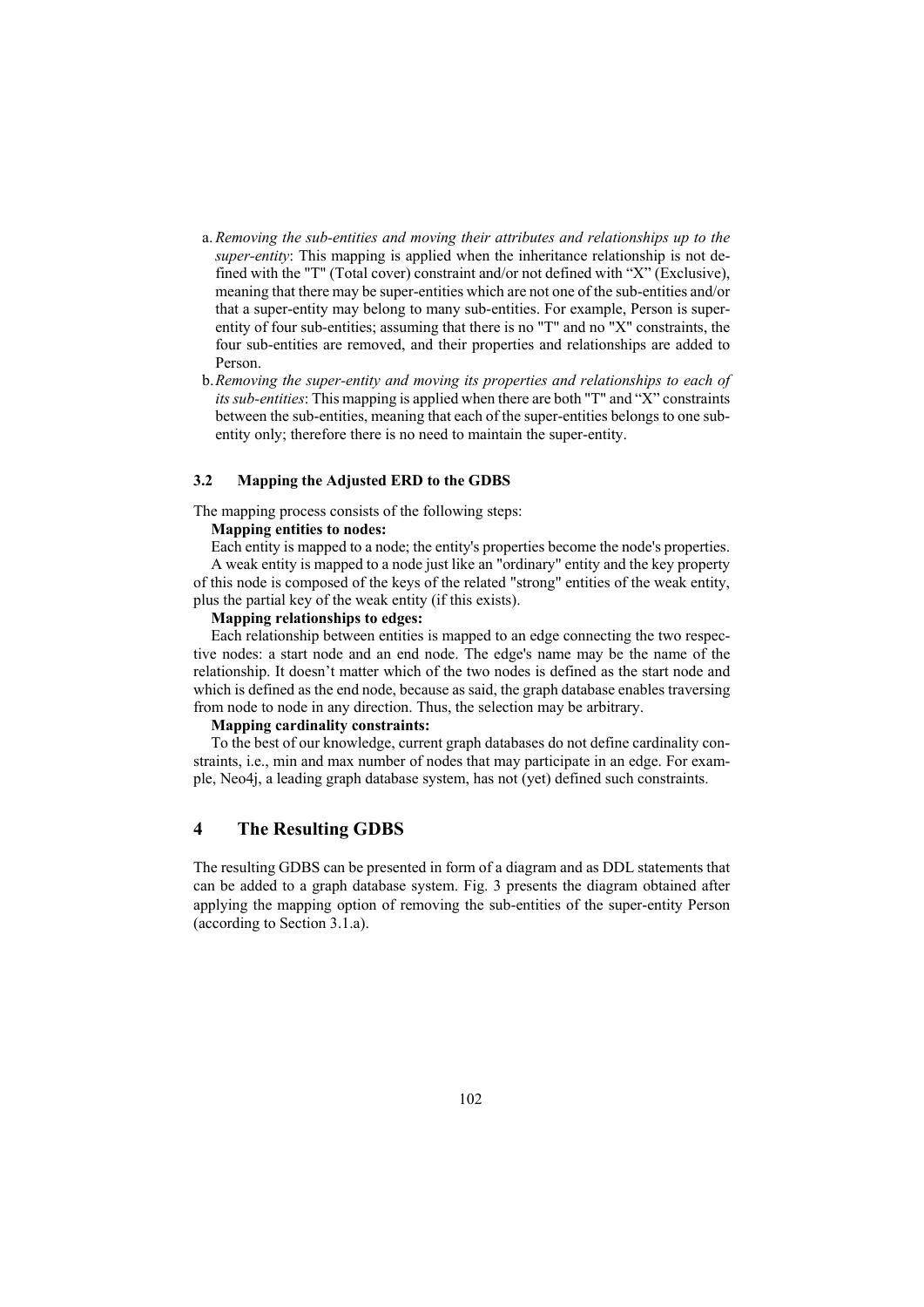- a. *Removing the sub-entities and moving their attributes and relationships up to the super-entity*: This mapping is applied when the inheritance relationship is not defined with the "T" (Total cover) constraint and/or not defined with "X" (Exclusive), meaning that there may be super-entities which are not one of the sub-entities and/or that a super-entity may belong to many sub-entities. For example, Person is superentity of four sub-entities; assuming that there is no "T" and no "X" constraints, the four sub-entities are removed, and their properties and relationships are added to Person.
- b.*Removing the super-entity and moving its properties and relationships to each of its sub-entities*: This mapping is applied when there are both "T" and "X" constraints between the sub-entities, meaning that each of the super-entities belongs to one subentity only; therefore there is no need to maintain the super-entity.

#### **3.2 Mapping the Adjusted ERD to the GDBS**

The mapping process consists of the following steps:

## **Mapping entities to nodes:**

Each entity is mapped to a node; the entity's properties become the node's properties. A weak entity is mapped to a node just like an "ordinary" entity and the key property of this node is composed of the keys of the related "strong" entities of the weak entity, plus the partial key of the weak entity (if this exists).

### **Mapping relationships to edges:**

Each relationship between entities is mapped to an edge connecting the two respective nodes: a start node and an end node. The edge's name may be the name of the relationship. It doesn't matter which of the two nodes is defined as the start node and which is defined as the end node, because as said, the graph database enables traversing from node to node in any direction. Thus, the selection may be arbitrary.

### **Mapping cardinality constraints:**

To the best of our knowledge, current graph databases do not define cardinality constraints, i.e., min and max number of nodes that may participate in an edge. For example, Neo4j, a leading graph database system, has not (yet) defined such constraints.

### **4 The Resulting GDBS**

The resulting GDBS can be presented in form of a diagram and as DDL statements that can be added to a graph database system. Fig. 3 presents the diagram obtained after applying the mapping option of removing the sub-entities of the super-entity Person (according to Section 3.1.a).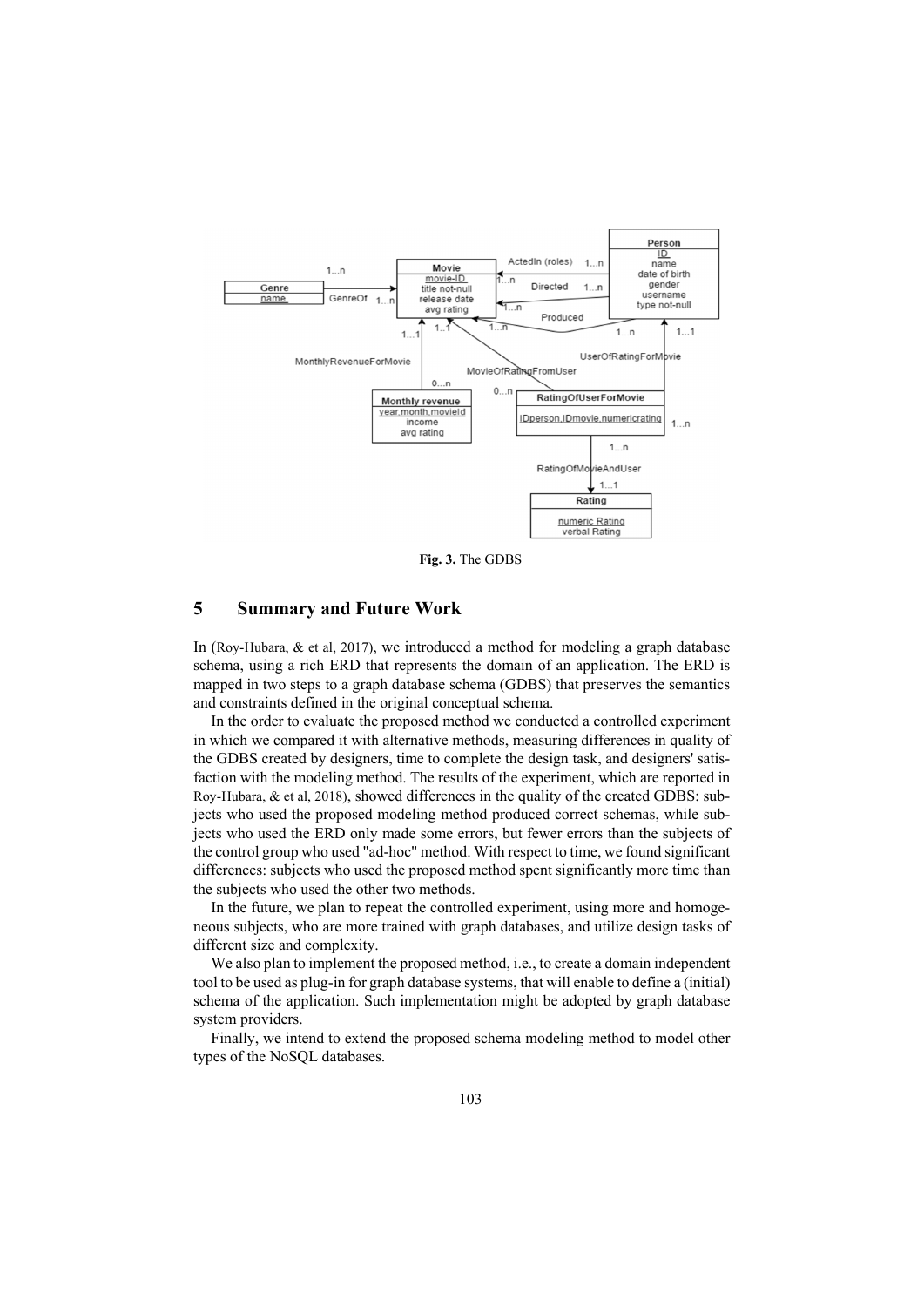

**Fig. 3.** The GDBS

### **5 Summary and Future Work**

In (Roy-Hubara, & et al, 2017), we introduced a method for modeling a graph database schema, using a rich ERD that represents the domain of an application. The ERD is mapped in two steps to a graph database schema (GDBS) that preserves the semantics and constraints defined in the original conceptual schema.

In the order to evaluate the proposed method we conducted a controlled experiment in which we compared it with alternative methods, measuring differences in quality of the GDBS created by designers, time to complete the design task, and designers' satisfaction with the modeling method. The results of the experiment, which are reported in Roy-Hubara, & et al, 2018), showed differences in the quality of the created GDBS: subjects who used the proposed modeling method produced correct schemas, while subjects who used the ERD only made some errors, but fewer errors than the subjects of the control group who used "ad-hoc" method. With respect to time, we found significant differences: subjects who used the proposed method spent significantly more time than the subjects who used the other two methods.

In the future, we plan to repeat the controlled experiment, using more and homogeneous subjects, who are more trained with graph databases, and utilize design tasks of different size and complexity.

We also plan to implement the proposed method, i.e., to create a domain independent tool to be used as plug-in for graph database systems, that will enable to define a (initial) schema of the application. Such implementation might be adopted by graph database system providers.

Finally, we intend to extend the proposed schema modeling method to model other types of the NoSQL databases.